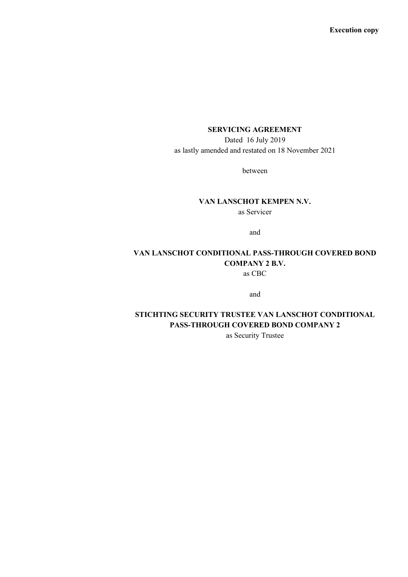## **SERVICING AGREEMENT**

Dated 16 July 2019 as lastly amended and restated on 18 November 2021

between

# **VAN LANSCHOT KEMPEN N.V.**

as Servicer

and

# **VAN LANSCHOT CONDITIONAL PASS-THROUGH COVERED BOND COMPANY 2 B.V.**

as CBC

and

## **STICHTING SECURITY TRUSTEE VAN LANSCHOT CONDITIONAL PASS-THROUGH COVERED BOND COMPANY 2**

as Security Trustee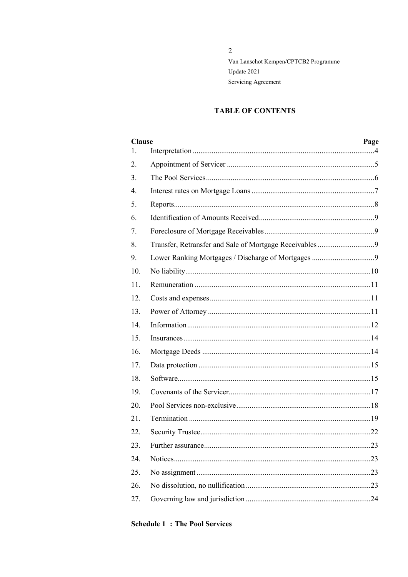## **TABLE OF CONTENTS**

| <b>Clause</b> |  | Page |
|---------------|--|------|
| 1.            |  |      |
| 2.            |  |      |
| 3.            |  |      |
| 4.            |  |      |
| 5.            |  |      |
| 6.            |  |      |
| 7.            |  |      |
| 8.            |  |      |
| 9.            |  |      |
| 10.           |  |      |
| 11.           |  |      |
| 12.           |  |      |
| 13.           |  |      |
| 14.           |  |      |
| 15.           |  |      |
| 16.           |  |      |
| 17.           |  |      |
| 18.           |  |      |
| 19.           |  |      |
| 20.           |  |      |
| 21.           |  |      |
| 22.           |  |      |
| 23.           |  |      |
| 24.           |  |      |
| 25.           |  |      |
| 26.           |  |      |
| 27.           |  |      |

## **Schedule 1: The Pool Services**

## $\overline{2}$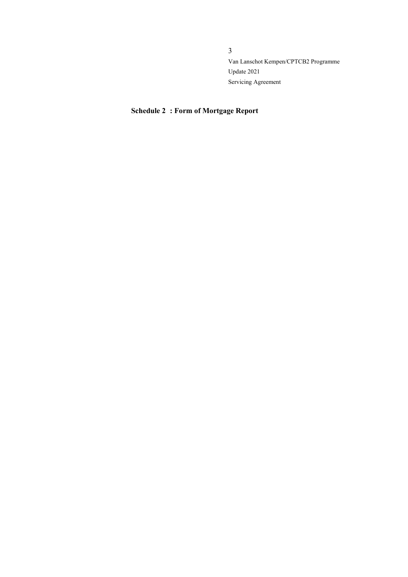## **Schedule 2 : Form of Mortgage Report**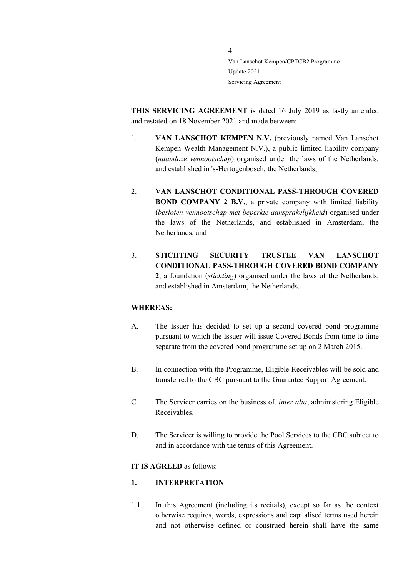**THIS SERVICING AGREEMENT** is dated 16 July 2019 as lastly amended and restated on 18 November 2021 and made between:

- 1. **VAN LANSCHOT KEMPEN N.V.** (previously named Van Lanschot Kempen Wealth Management N.V.), a public limited liability company (*naamloze vennootschap*) organised under the laws of the Netherlands, and established in 's-Hertogenbosch, the Netherlands;
- 2. **VAN LANSCHOT CONDITIONAL PASS-THROUGH COVERED BOND COMPANY 2 B.V.**, a private company with limited liability (*besloten vennootschap met beperkte aansprakelijkheid*) organised under the laws of the Netherlands, and established in Amsterdam, the Netherlands; and
- 3. **STICHTING SECURITY TRUSTEE VAN LANSCHOT CONDITIONAL PASS-THROUGH COVERED BOND COMPANY 2**, a foundation (*stichting*) organised under the laws of the Netherlands, and established in Amsterdam, the Netherlands.

#### **WHEREAS:**

- A. The Issuer has decided to set up a second covered bond programme pursuant to which the Issuer will issue Covered Bonds from time to time separate from the covered bond programme set up on 2 March 2015.
- B. In connection with the Programme, Eligible Receivables will be sold and transferred to the CBC pursuant to the Guarantee Support Agreement.
- C. The Servicer carries on the business of, *inter alia*, administering Eligible Receivables.
- D. The Servicer is willing to provide the Pool Services to the CBC subject to and in accordance with the terms of this Agreement.

#### **IT IS AGREED** as follows:

#### <span id="page-3-0"></span>**1. INTERPRETATION**

1.1 In this Agreement (including its recitals), except so far as the context otherwise requires, words, expressions and capitalised terms used herein and not otherwise defined or construed herein shall have the same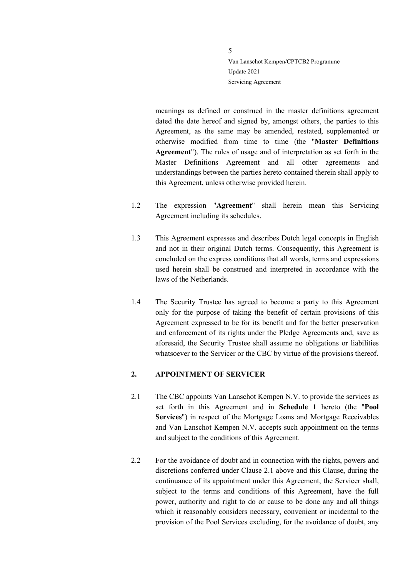meanings as defined or construed in the master definitions agreement dated the date hereof and signed by, amongst others, the parties to this Agreement, as the same may be amended, restated, supplemented or otherwise modified from time to time (the "**Master Definitions Agreement**"). The rules of usage and of interpretation as set forth in the Master Definitions Agreement and all other agreements and understandings between the parties hereto contained therein shall apply to this Agreement, unless otherwise provided herein.

- 1.2 The expression "**Agreement**" shall herein mean this Servicing Agreement including its schedules.
- 1.3 This Agreement expresses and describes Dutch legal concepts in English and not in their original Dutch terms. Consequently, this Agreement is concluded on the express conditions that all words, terms and expressions used herein shall be construed and interpreted in accordance with the laws of the Netherlands.
- 1.4 The Security Trustee has agreed to become a party to this Agreement only for the purpose of taking the benefit of certain provisions of this Agreement expressed to be for its benefit and for the better preservation and enforcement of its rights under the Pledge Agreements and, save as aforesaid, the Security Trustee shall assume no obligations or liabilities whatsoever to the Servicer or the CBC by virtue of the provisions thereof.

## <span id="page-4-0"></span>**2. APPOINTMENT OF SERVICER**

- <span id="page-4-1"></span>2.1 The CBC appoints Van Lanschot Kempen N.V. to provide the services as set forth in this Agreement and in **Schedule 1** hereto (the "**Pool Services**") in respect of the Mortgage Loans and Mortgage Receivables and Van Lanschot Kempen N.V. accepts such appointment on the terms and subject to the conditions of this Agreement.
- 2.2 For the avoidance of doubt and in connection with the rights, powers and discretions conferred under Clause [2.1](#page-4-1) above and this Clause, during the continuance of its appointment under this Agreement, the Servicer shall, subject to the terms and conditions of this Agreement, have the full power, authority and right to do or cause to be done any and all things which it reasonably considers necessary, convenient or incidental to the provision of the Pool Services excluding, for the avoidance of doubt, any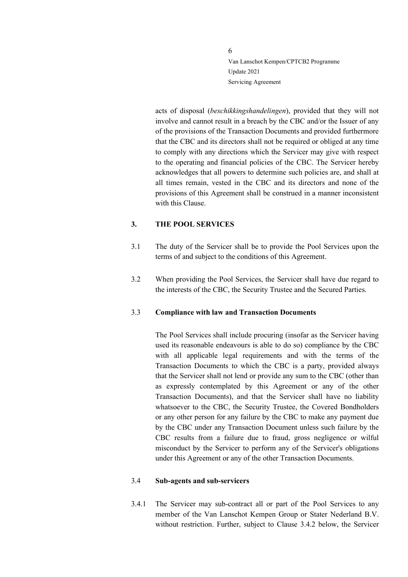acts of disposal (*beschikkingshandelingen*), provided that they will not involve and cannot result in a breach by the CBC and/or the Issuer of any of the provisions of the Transaction Documents and provided furthermore that the CBC and its directors shall not be required or obliged at any time to comply with any directions which the Servicer may give with respect to the operating and financial policies of the CBC. The Servicer hereby acknowledges that all powers to determine such policies are, and shall at all times remain, vested in the CBC and its directors and none of the provisions of this Agreement shall be construed in a manner inconsistent with this Clause.

## <span id="page-5-0"></span>**3. THE POOL SERVICES**

- 3.1 The duty of the Servicer shall be to provide the Pool Services upon the terms of and subject to the conditions of this Agreement.
- 3.2 When providing the Pool Services, the Servicer shall have due regard to the interests of the CBC, the Security Trustee and the Secured Parties.

#### <span id="page-5-1"></span>3.3 **Compliance with law and Transaction Documents**

The Pool Services shall include procuring (insofar as the Servicer having used its reasonable endeavours is able to do so) compliance by the CBC with all applicable legal requirements and with the terms of the Transaction Documents to which the CBC is a party, provided always that the Servicer shall not lend or provide any sum to the CBC (other than as expressly contemplated by this Agreement or any of the other Transaction Documents), and that the Servicer shall have no liability whatsoever to the CBC, the Security Trustee, the Covered Bondholders or any other person for any failure by the CBC to make any payment due by the CBC under any Transaction Document unless such failure by the CBC results from a failure due to fraud, gross negligence or wilful misconduct by the Servicer to perform any of the Servicer's obligations under this Agreement or any of the other Transaction Documents.

#### <span id="page-5-2"></span>3.4 **Sub-agents and sub-servicers**

3.4.1 The Servicer may sub-contract all or part of the Pool Services to any member of the Van Lanschot Kempen Group or Stater Nederland B.V. without restriction. Further, subject to Clause [3.4.2](#page-6-1) below, the Servicer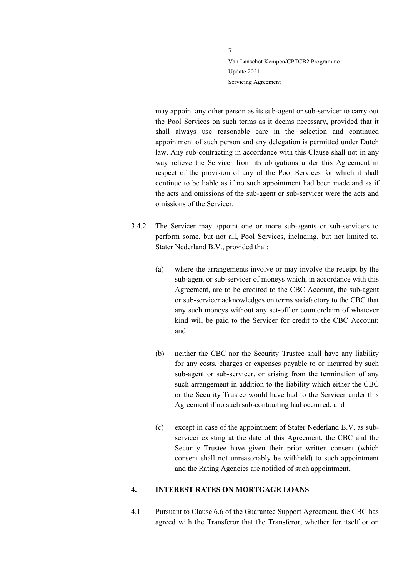may appoint any other person as its sub-agent or sub-servicer to carry out the Pool Services on such terms as it deems necessary, provided that it shall always use reasonable care in the selection and continued appointment of such person and any delegation is permitted under Dutch law. Any sub-contracting in accordance with this Clause shall not in any way relieve the Servicer from its obligations under this Agreement in respect of the provision of any of the Pool Services for which it shall continue to be liable as if no such appointment had been made and as if the acts and omissions of the sub-agent or sub-servicer were the acts and omissions of the Servicer.

- <span id="page-6-1"></span>3.4.2 The Servicer may appoint one or more sub-agents or sub-servicers to perform some, but not all, Pool Services, including, but not limited to, Stater Nederland B.V., provided that:
	- (a) where the arrangements involve or may involve the receipt by the sub-agent or sub-servicer of moneys which, in accordance with this Agreement, are to be credited to the CBC Account, the sub-agent or sub-servicer acknowledges on terms satisfactory to the CBC that any such moneys without any set-off or counterclaim of whatever kind will be paid to the Servicer for credit to the CBC Account; and
	- (b) neither the CBC nor the Security Trustee shall have any liability for any costs, charges or expenses payable to or incurred by such sub-agent or sub-servicer, or arising from the termination of any such arrangement in addition to the liability which either the CBC or the Security Trustee would have had to the Servicer under this Agreement if no such sub-contracting had occurred; and
	- (c) except in case of the appointment of Stater Nederland B.V. as subservicer existing at the date of this Agreement, the CBC and the Security Trustee have given their prior written consent (which consent shall not unreasonably be withheld) to such appointment and the Rating Agencies are notified of such appointment.

#### <span id="page-6-0"></span>**4. INTEREST RATES ON MORTGAGE LOANS**

4.1 Pursuant to Clause 6.6 of the Guarantee Support Agreement, the CBC has agreed with the Transferor that the Transferor, whether for itself or on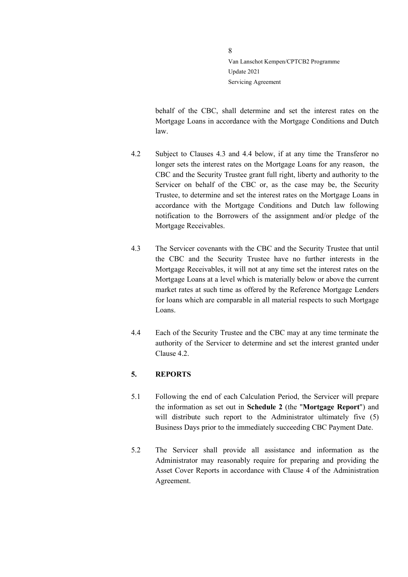behalf of the CBC, shall determine and set the interest rates on the Mortgage Loans in accordance with the Mortgage Conditions and Dutch law.

- <span id="page-7-3"></span>4.2 Subject to Clauses [4.3](#page-7-1) and [4.4](#page-7-2) below, if at any time the Transferor no longer sets the interest rates on the Mortgage Loans for any reason, the CBC and the Security Trustee grant full right, liberty and authority to the Servicer on behalf of the CBC or, as the case may be, the Security Trustee, to determine and set the interest rates on the Mortgage Loans in accordance with the Mortgage Conditions and Dutch law following notification to the Borrowers of the assignment and/or pledge of the Mortgage Receivables.
- <span id="page-7-1"></span>4.3 The Servicer covenants with the CBC and the Security Trustee that until the CBC and the Security Trustee have no further interests in the Mortgage Receivables, it will not at any time set the interest rates on the Mortgage Loans at a level which is materially below or above the current market rates at such time as offered by the Reference Mortgage Lenders for loans which are comparable in all material respects to such Mortgage Loans.
- <span id="page-7-2"></span>4.4 Each of the Security Trustee and the CBC may at any time terminate the authority of the Servicer to determine and set the interest granted under Clause [4.2.](#page-7-3)

## <span id="page-7-0"></span>**5. REPORTS**

- 5.1 Following the end of each Calculation Period, the Servicer will prepare the information as set out in **Schedule 2** (the "**Mortgage Report**") and will distribute such report to the Administrator ultimately five (5) Business Days prior to the immediately succeeding CBC Payment Date.
- 5.2 The Servicer shall provide all assistance and information as the Administrator may reasonably require for preparing and providing the Asset Cover Reports in accordance with Clause 4 of the Administration Agreement.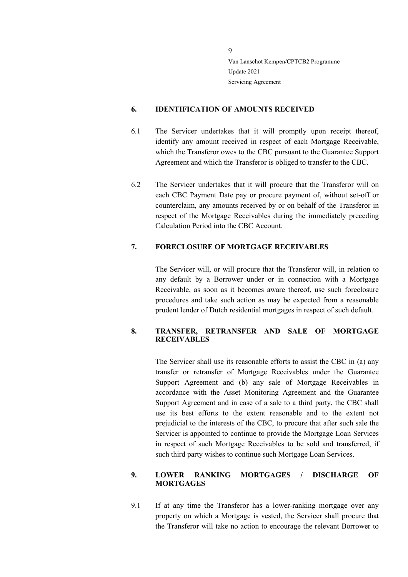## <span id="page-8-0"></span>**6. IDENTIFICATION OF AMOUNTS RECEIVED**

- 6.1 The Servicer undertakes that it will promptly upon receipt thereof, identify any amount received in respect of each Mortgage Receivable, which the Transferor owes to the CBC pursuant to the Guarantee Support Agreement and which the Transferor is obliged to transfer to the CBC.
- 6.2 The Servicer undertakes that it will procure that the Transferor will on each CBC Payment Date pay or procure payment of, without set-off or counterclaim, any amounts received by or on behalf of the Transferor in respect of the Mortgage Receivables during the immediately preceding Calculation Period into the CBC Account.

### <span id="page-8-1"></span>**7. FORECLOSURE OF MORTGAGE RECEIVABLES**

The Servicer will, or will procure that the Transferor will, in relation to any default by a Borrower under or in connection with a Mortgage Receivable, as soon as it becomes aware thereof, use such foreclosure procedures and take such action as may be expected from a reasonable prudent lender of Dutch residential mortgages in respect of such default.

## <span id="page-8-2"></span>**8. TRANSFER, RETRANSFER AND SALE OF MORTGAGE RECEIVABLES**

The Servicer shall use its reasonable efforts to assist the CBC in (a) any transfer or retransfer of Mortgage Receivables under the Guarantee Support Agreement and (b) any sale of Mortgage Receivables in accordance with the Asset Monitoring Agreement and the Guarantee Support Agreement and in case of a sale to a third party, the CBC shall use its best efforts to the extent reasonable and to the extent not prejudicial to the interests of the CBC, to procure that after such sale the Servicer is appointed to continue to provide the Mortgage Loan Services in respect of such Mortgage Receivables to be sold and transferred, if such third party wishes to continue such Mortgage Loan Services.

## <span id="page-8-3"></span>**9. LOWER RANKING MORTGAGES / DISCHARGE OF MORTGAGES**

9.1 If at any time the Transferor has a lower-ranking mortgage over any property on which a Mortgage is vested, the Servicer shall procure that the Transferor will take no action to encourage the relevant Borrower to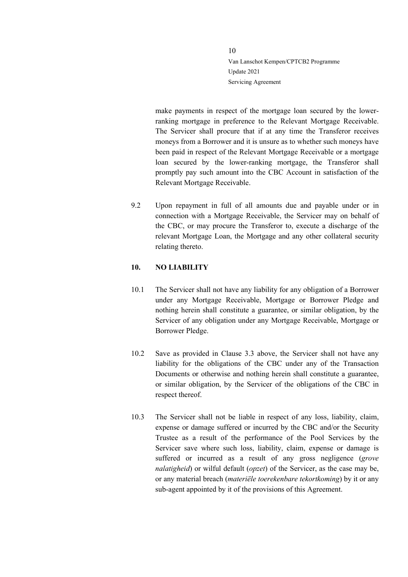make payments in respect of the mortgage loan secured by the lowerranking mortgage in preference to the Relevant Mortgage Receivable. The Servicer shall procure that if at any time the Transferor receives moneys from a Borrower and it is unsure as to whether such moneys have been paid in respect of the Relevant Mortgage Receivable or a mortgage loan secured by the lower-ranking mortgage, the Transferor shall promptly pay such amount into the CBC Account in satisfaction of the Relevant Mortgage Receivable.

9.2 Upon repayment in full of all amounts due and payable under or in connection with a Mortgage Receivable, the Servicer may on behalf of the CBC, or may procure the Transferor to, execute a discharge of the relevant Mortgage Loan, the Mortgage and any other collateral security relating thereto.

#### <span id="page-9-0"></span>**10. NO LIABILITY**

- 10.1 The Servicer shall not have any liability for any obligation of a Borrower under any Mortgage Receivable, Mortgage or Borrower Pledge and nothing herein shall constitute a guarantee, or similar obligation, by the Servicer of any obligation under any Mortgage Receivable, Mortgage or Borrower Pledge.
- 10.2 Save as provided in Clause [3.3](#page-5-1) above, the Servicer shall not have any liability for the obligations of the CBC under any of the Transaction Documents or otherwise and nothing herein shall constitute a guarantee, or similar obligation, by the Servicer of the obligations of the CBC in respect thereof.
- 10.3 The Servicer shall not be liable in respect of any loss, liability, claim, expense or damage suffered or incurred by the CBC and/or the Security Trustee as a result of the performance of the Pool Services by the Servicer save where such loss, liability, claim, expense or damage is suffered or incurred as a result of any gross negligence (*grove nalatigheid*) or wilful default (*opzet*) of the Servicer, as the case may be, or any material breach (*materiële toerekenbare tekortkoming*) by it or any sub-agent appointed by it of the provisions of this Agreement.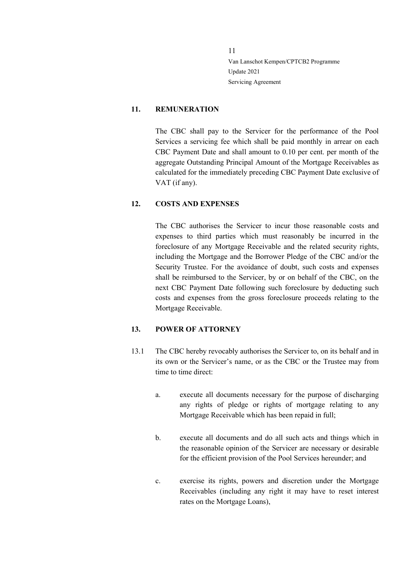## <span id="page-10-0"></span>**11. REMUNERATION**

The CBC shall pay to the Servicer for the performance of the Pool Services a servicing fee which shall be paid monthly in arrear on each CBC Payment Date and shall amount to 0.10 per cent. per month of the aggregate Outstanding Principal Amount of the Mortgage Receivables as calculated for the immediately preceding CBC Payment Date exclusive of VAT (if any).

## <span id="page-10-1"></span>**12. COSTS AND EXPENSES**

The CBC authorises the Servicer to incur those reasonable costs and expenses to third parties which must reasonably be incurred in the foreclosure of any Mortgage Receivable and the related security rights, including the Mortgage and the Borrower Pledge of the CBC and/or the Security Trustee. For the avoidance of doubt, such costs and expenses shall be reimbursed to the Servicer, by or on behalf of the CBC, on the next CBC Payment Date following such foreclosure by deducting such costs and expenses from the gross foreclosure proceeds relating to the Mortgage Receivable.

#### <span id="page-10-2"></span>**13. POWER OF ATTORNEY**

- <span id="page-10-3"></span>13.1 The CBC hereby revocably authorises the Servicer to, on its behalf and in its own or the Servicer's name, or as the CBC or the Trustee may from time to time direct:
	- a. execute all documents necessary for the purpose of discharging any rights of pledge or rights of mortgage relating to any Mortgage Receivable which has been repaid in full;
	- b. execute all documents and do all such acts and things which in the reasonable opinion of the Servicer are necessary or desirable for the efficient provision of the Pool Services hereunder; and
	- c. exercise its rights, powers and discretion under the Mortgage Receivables (including any right it may have to reset interest rates on the Mortgage Loans),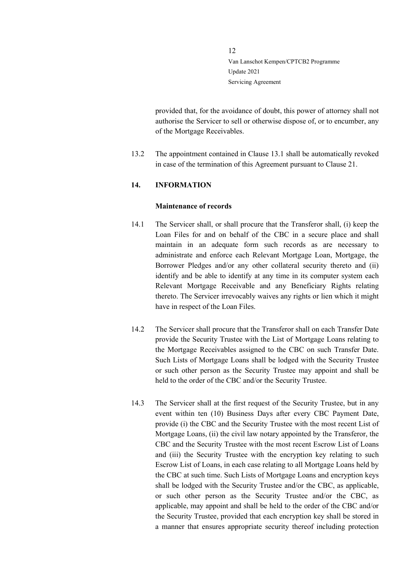provided that, for the avoidance of doubt, this power of attorney shall not authorise the Servicer to sell or otherwise dispose of, or to encumber, any of the Mortgage Receivables.

13.2 The appointment contained in Clause [13.1](#page-10-3) shall be automatically revoked in case of the termination of this Agreement pursuant to Clause [21.](#page-18-0)

#### <span id="page-11-0"></span>**14. INFORMATION**

#### **Maintenance of records**

- 14.1 The Servicer shall, or shall procure that the Transferor shall, (i) keep the Loan Files for and on behalf of the CBC in a secure place and shall maintain in an adequate form such records as are necessary to administrate and enforce each Relevant Mortgage Loan, Mortgage, the Borrower Pledges and/or any other collateral security thereto and (ii) identify and be able to identify at any time in its computer system each Relevant Mortgage Receivable and any Beneficiary Rights relating thereto. The Servicer irrevocably waives any rights or lien which it might have in respect of the Loan Files.
- 14.2 The Servicer shall procure that the Transferor shall on each Transfer Date provide the Security Trustee with the List of Mortgage Loans relating to the Mortgage Receivables assigned to the CBC on such Transfer Date. Such Lists of Mortgage Loans shall be lodged with the Security Trustee or such other person as the Security Trustee may appoint and shall be held to the order of the CBC and/or the Security Trustee.
- 14.3 The Servicer shall at the first request of the Security Trustee, but in any event within ten (10) Business Days after every CBC Payment Date, provide (i) the CBC and the Security Trustee with the most recent List of Mortgage Loans, (ii) the civil law notary appointed by the Transferor, the CBC and the Security Trustee with the most recent Escrow List of Loans and (iii) the Security Trustee with the encryption key relating to such Escrow List of Loans, in each case relating to all Mortgage Loans held by the CBC at such time. Such Lists of Mortgage Loans and encryption keys shall be lodged with the Security Trustee and/or the CBC, as applicable, or such other person as the Security Trustee and/or the CBC, as applicable, may appoint and shall be held to the order of the CBC and/or the Security Trustee, provided that each encryption key shall be stored in a manner that ensures appropriate security thereof including protection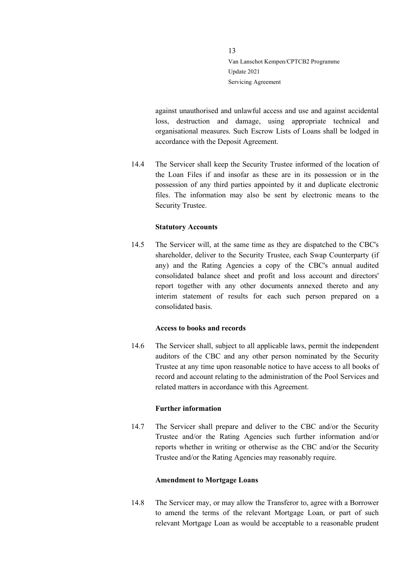against unauthorised and unlawful access and use and against accidental loss, destruction and damage, using appropriate technical and organisational measures. Such Escrow Lists of Loans shall be lodged in accordance with the Deposit Agreement.

14.4 The Servicer shall keep the Security Trustee informed of the location of the Loan Files if and insofar as these are in its possession or in the possession of any third parties appointed by it and duplicate electronic files. The information may also be sent by electronic means to the Security Trustee.

#### **Statutory Accounts**

14.5 The Servicer will, at the same time as they are dispatched to the CBC's shareholder, deliver to the Security Trustee, each Swap Counterparty (if any) and the Rating Agencies a copy of the CBC's annual audited consolidated balance sheet and profit and loss account and directors' report together with any other documents annexed thereto and any interim statement of results for each such person prepared on a consolidated basis.

#### **Access to books and records**

14.6 The Servicer shall, subject to all applicable laws, permit the independent auditors of the CBC and any other person nominated by the Security Trustee at any time upon reasonable notice to have access to all books of record and account relating to the administration of the Pool Services and related matters in accordance with this Agreement.

#### **Further information**

14.7 The Servicer shall prepare and deliver to the CBC and/or the Security Trustee and/or the Rating Agencies such further information and/or reports whether in writing or otherwise as the CBC and/or the Security Trustee and/or the Rating Agencies may reasonably require.

#### **Amendment to Mortgage Loans**

14.8 The Servicer may, or may allow the Transferor to, agree with a Borrower to amend the terms of the relevant Mortgage Loan, or part of such relevant Mortgage Loan as would be acceptable to a reasonable prudent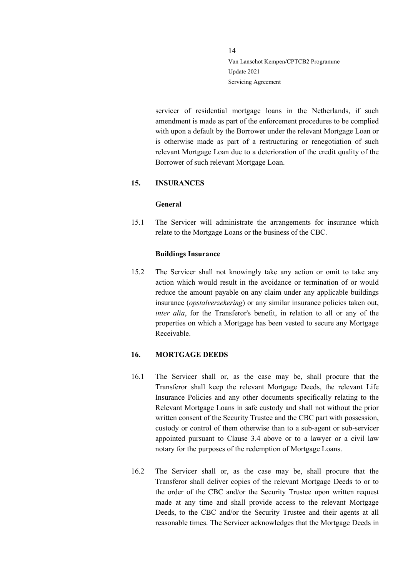servicer of residential mortgage loans in the Netherlands, if such amendment is made as part of the enforcement procedures to be complied with upon a default by the Borrower under the relevant Mortgage Loan or is otherwise made as part of a restructuring or renegotiation of such relevant Mortgage Loan due to a deterioration of the credit quality of the Borrower of such relevant Mortgage Loan.

## <span id="page-13-0"></span>**15. INSURANCES**

#### **General**

15.1 The Servicer will administrate the arrangements for insurance which relate to the Mortgage Loans or the business of the CBC.

#### **Buildings Insurance**

15.2 The Servicer shall not knowingly take any action or omit to take any action which would result in the avoidance or termination of or would reduce the amount payable on any claim under any applicable buildings insurance (*opstalverzekering*) or any similar insurance policies taken out, *inter alia*, for the Transferor's benefit, in relation to all or any of the properties on which a Mortgage has been vested to secure any Mortgage Receivable.

#### <span id="page-13-1"></span>**16. MORTGAGE DEEDS**

- 16.1 The Servicer shall or, as the case may be, shall procure that the Transferor shall keep the relevant Mortgage Deeds, the relevant Life Insurance Policies and any other documents specifically relating to the Relevant Mortgage Loans in safe custody and shall not without the prior written consent of the Security Trustee and the CBC part with possession, custody or control of them otherwise than to a sub-agent or sub-servicer appointed pursuant to Clause [3.4](#page-5-2) above or to a lawyer or a civil law notary for the purposes of the redemption of Mortgage Loans.
- 16.2 The Servicer shall or, as the case may be, shall procure that the Transferor shall deliver copies of the relevant Mortgage Deeds to or to the order of the CBC and/or the Security Trustee upon written request made at any time and shall provide access to the relevant Mortgage Deeds, to the CBC and/or the Security Trustee and their agents at all reasonable times. The Servicer acknowledges that the Mortgage Deeds in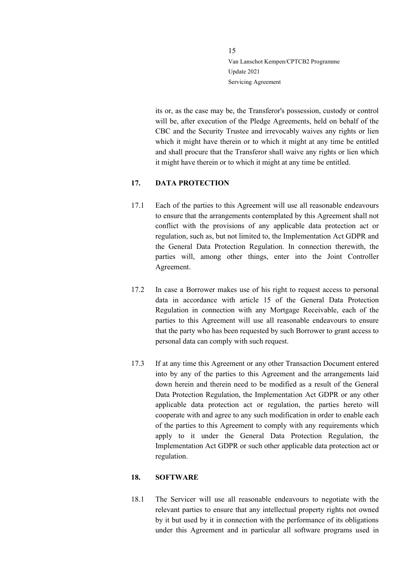its or, as the case may be, the Transferor's possession, custody or control will be, after execution of the Pledge Agreements, held on behalf of the CBC and the Security Trustee and irrevocably waives any rights or lien which it might have therein or to which it might at any time be entitled and shall procure that the Transferor shall waive any rights or lien which it might have therein or to which it might at any time be entitled.

#### <span id="page-14-0"></span>**17. DATA PROTECTION**

- 17.1 Each of the parties to this Agreement will use all reasonable endeavours to ensure that the arrangements contemplated by this Agreement shall not conflict with the provisions of any applicable data protection act or regulation, such as, but not limited to, the Implementation Act GDPR and the General Data Protection Regulation. In connection therewith, the parties will, among other things, enter into the Joint Controller Agreement.
- 17.2 In case a Borrower makes use of his right to request access to personal data in accordance with article 15 of the General Data Protection Regulation in connection with any Mortgage Receivable, each of the parties to this Agreement will use all reasonable endeavours to ensure that the party who has been requested by such Borrower to grant access to personal data can comply with such request.
- 17.3 If at any time this Agreement or any other Transaction Document entered into by any of the parties to this Agreement and the arrangements laid down herein and therein need to be modified as a result of the General Data Protection Regulation, the Implementation Act GDPR or any other applicable data protection act or regulation, the parties hereto will cooperate with and agree to any such modification in order to enable each of the parties to this Agreement to comply with any requirements which apply to it under the General Data Protection Regulation, the Implementation Act GDPR or such other applicable data protection act or regulation.

#### <span id="page-14-1"></span>**18. SOFTWARE**

18.1 The Servicer will use all reasonable endeavours to negotiate with the relevant parties to ensure that any intellectual property rights not owned by it but used by it in connection with the performance of its obligations under this Agreement and in particular all software programs used in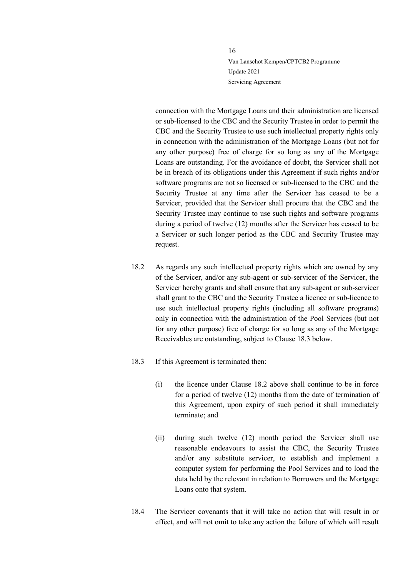connection with the Mortgage Loans and their administration are licensed or sub-licensed to the CBC and the Security Trustee in order to permit the CBC and the Security Trustee to use such intellectual property rights only in connection with the administration of the Mortgage Loans (but not for any other purpose) free of charge for so long as any of the Mortgage Loans are outstanding. For the avoidance of doubt, the Servicer shall not be in breach of its obligations under this Agreement if such rights and/or software programs are not so licensed or sub-licensed to the CBC and the Security Trustee at any time after the Servicer has ceased to be a Servicer, provided that the Servicer shall procure that the CBC and the Security Trustee may continue to use such rights and software programs during a period of twelve (12) months after the Servicer has ceased to be a Servicer or such longer period as the CBC and Security Trustee may request.

- <span id="page-15-1"></span>18.2 As regards any such intellectual property rights which are owned by any of the Servicer, and/or any sub-agent or sub-servicer of the Servicer, the Servicer hereby grants and shall ensure that any sub-agent or sub-servicer shall grant to the CBC and the Security Trustee a licence or sub-licence to use such intellectual property rights (including all software programs) only in connection with the administration of the Pool Services (but not for any other purpose) free of charge for so long as any of the Mortgage Receivables are outstanding, subject to Clause [18.3](#page-15-0) below.
- <span id="page-15-0"></span>18.3 If this Agreement is terminated then:
	- (i) the licence under Clause [18.2](#page-15-1) above shall continue to be in force for a period of twelve (12) months from the date of termination of this Agreement, upon expiry of such period it shall immediately terminate; and
	- (ii) during such twelve (12) month period the Servicer shall use reasonable endeavours to assist the CBC, the Security Trustee and/or any substitute servicer, to establish and implement a computer system for performing the Pool Services and to load the data held by the relevant in relation to Borrowers and the Mortgage Loans onto that system.
- 18.4 The Servicer covenants that it will take no action that will result in or effect, and will not omit to take any action the failure of which will result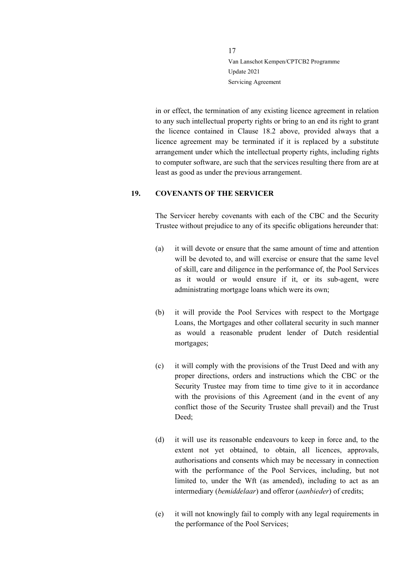in or effect, the termination of any existing licence agreement in relation to any such intellectual property rights or bring to an end its right to grant the licence contained in Clause [18.2](#page-15-1) above, provided always that a licence agreement may be terminated if it is replaced by a substitute arrangement under which the intellectual property rights, including rights to computer software, are such that the services resulting there from are at least as good as under the previous arrangement.

## <span id="page-16-0"></span>**19. COVENANTS OF THE SERVICER**

The Servicer hereby covenants with each of the CBC and the Security Trustee without prejudice to any of its specific obligations hereunder that:

- (a) it will devote or ensure that the same amount of time and attention will be devoted to, and will exercise or ensure that the same level of skill, care and diligence in the performance of, the Pool Services as it would or would ensure if it, or its sub-agent, were administrating mortgage loans which were its own;
- (b) it will provide the Pool Services with respect to the Mortgage Loans, the Mortgages and other collateral security in such manner as would a reasonable prudent lender of Dutch residential mortgages;
- (c) it will comply with the provisions of the Trust Deed and with any proper directions, orders and instructions which the CBC or the Security Trustee may from time to time give to it in accordance with the provisions of this Agreement (and in the event of any conflict those of the Security Trustee shall prevail) and the Trust Deed;
- (d) it will use its reasonable endeavours to keep in force and, to the extent not yet obtained, to obtain, all licences, approvals, authorisations and consents which may be necessary in connection with the performance of the Pool Services, including, but not limited to, under the Wft (as amended), including to act as an intermediary (*bemiddelaar*) and offeror (*aanbieder*) of credits;
- (e) it will not knowingly fail to comply with any legal requirements in the performance of the Pool Services;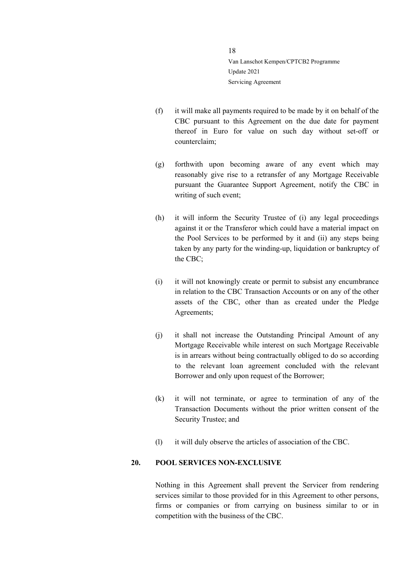- (f) it will make all payments required to be made by it on behalf of the CBC pursuant to this Agreement on the due date for payment thereof in Euro for value on such day without set-off or counterclaim;
- (g) forthwith upon becoming aware of any event which may reasonably give rise to a retransfer of any Mortgage Receivable pursuant the Guarantee Support Agreement, notify the CBC in writing of such event;
- (h) it will inform the Security Trustee of (i) any legal proceedings against it or the Transferor which could have a material impact on the Pool Services to be performed by it and (ii) any steps being taken by any party for the winding-up, liquidation or bankruptcy of the CBC;
- (i) it will not knowingly create or permit to subsist any encumbrance in relation to the CBC Transaction Accounts or on any of the other assets of the CBC, other than as created under the Pledge Agreements;
- (j) it shall not increase the Outstanding Principal Amount of any Mortgage Receivable while interest on such Mortgage Receivable is in arrears without being contractually obliged to do so according to the relevant loan agreement concluded with the relevant Borrower and only upon request of the Borrower;
- (k) it will not terminate, or agree to termination of any of the Transaction Documents without the prior written consent of the Security Trustee; and
- (l) it will duly observe the articles of association of the CBC.

## <span id="page-17-0"></span>**20. POOL SERVICES NON-EXCLUSIVE**

Nothing in this Agreement shall prevent the Servicer from rendering services similar to those provided for in this Agreement to other persons, firms or companies or from carrying on business similar to or in competition with the business of the CBC.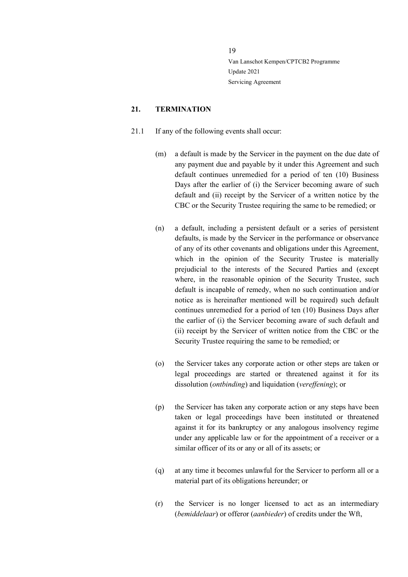#### <span id="page-18-0"></span>**21. TERMINATION**

- <span id="page-18-1"></span>21.1 If any of the following events shall occur:
	- (m) a default is made by the Servicer in the payment on the due date of any payment due and payable by it under this Agreement and such default continues unremedied for a period of ten (10) Business Days after the earlier of (i) the Servicer becoming aware of such default and (ii) receipt by the Servicer of a written notice by the CBC or the Security Trustee requiring the same to be remedied; or
	- (n) a default, including a persistent default or a series of persistent defaults, is made by the Servicer in the performance or observance of any of its other covenants and obligations under this Agreement, which in the opinion of the Security Trustee is materially prejudicial to the interests of the Secured Parties and (except where, in the reasonable opinion of the Security Trustee, such default is incapable of remedy, when no such continuation and/or notice as is hereinafter mentioned will be required) such default continues unremedied for a period of ten (10) Business Days after the earlier of (i) the Servicer becoming aware of such default and (ii) receipt by the Servicer of written notice from the CBC or the Security Trustee requiring the same to be remedied; or
	- (o) the Servicer takes any corporate action or other steps are taken or legal proceedings are started or threatened against it for its dissolution (*ontbinding*) and liquidation (*vereffening*); or
	- (p) the Servicer has taken any corporate action or any steps have been taken or legal proceedings have been instituted or threatened against it for its bankruptcy or any analogous insolvency regime under any applicable law or for the appointment of a receiver or a similar officer of its or any or all of its assets; or
	- (q) at any time it becomes unlawful for the Servicer to perform all or a material part of its obligations hereunder; or
	- (r) the Servicer is no longer licensed to act as an intermediary (*bemiddelaar*) or offeror (*aanbieder*) of credits under the Wft,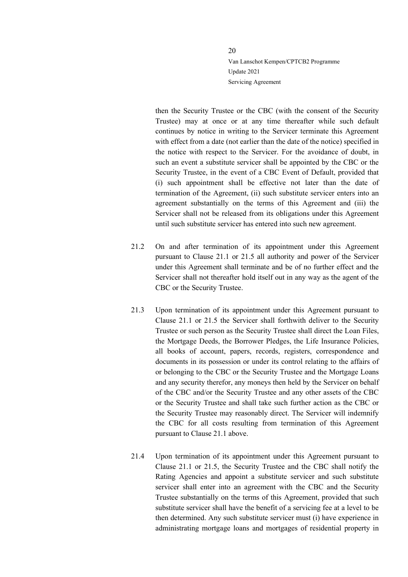then the Security Trustee or the CBC (with the consent of the Security Trustee) may at once or at any time thereafter while such default continues by notice in writing to the Servicer terminate this Agreement with effect from a date (not earlier than the date of the notice) specified in the notice with respect to the Servicer. For the avoidance of doubt, in such an event a substitute servicer shall be appointed by the CBC or the Security Trustee, in the event of a CBC Event of Default, provided that (i) such appointment shall be effective not later than the date of termination of the Agreement, (ii) such substitute servicer enters into an agreement substantially on the terms of this Agreement and (iii) the Servicer shall not be released from its obligations under this Agreement until such substitute servicer has entered into such new agreement.

- 21.2 On and after termination of its appointment under this Agreement pursuant to Clause [21.1](#page-18-1) or [21.5](#page-20-0) all authority and power of the Servicer under this Agreement shall terminate and be of no further effect and the Servicer shall not thereafter hold itself out in any way as the agent of the CBC or the Security Trustee.
- 21.3 Upon termination of its appointment under this Agreement pursuant to Clause [21.1](#page-18-1) or [21.5](#page-20-0) the Servicer shall forthwith deliver to the Security Trustee or such person as the Security Trustee shall direct the Loan Files, the Mortgage Deeds, the Borrower Pledges, the Life Insurance Policies, all books of account, papers, records, registers, correspondence and documents in its possession or under its control relating to the affairs of or belonging to the CBC or the Security Trustee and the Mortgage Loans and any security therefor, any moneys then held by the Servicer on behalf of the CBC and/or the Security Trustee and any other assets of the CBC or the Security Trustee and shall take such further action as the CBC or the Security Trustee may reasonably direct. The Servicer will indemnify the CBC for all costs resulting from termination of this Agreement pursuant to Clause [21.1](#page-18-1) above.
- <span id="page-19-0"></span>21.4 Upon termination of its appointment under this Agreement pursuant to Clause [21.1](#page-18-1) or [21.5,](#page-20-0) the Security Trustee and the CBC shall notify the Rating Agencies and appoint a substitute servicer and such substitute servicer shall enter into an agreement with the CBC and the Security Trustee substantially on the terms of this Agreement, provided that such substitute servicer shall have the benefit of a servicing fee at a level to be then determined. Any such substitute servicer must (i) have experience in administrating mortgage loans and mortgages of residential property in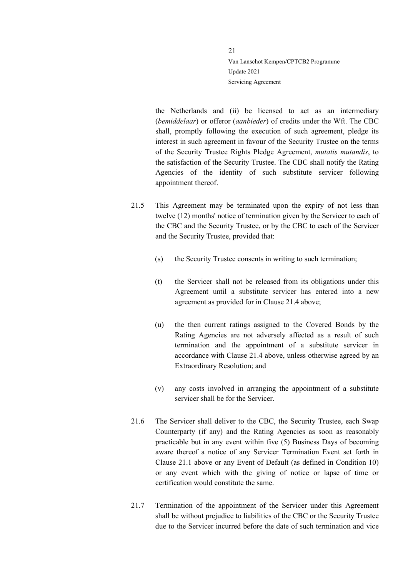the Netherlands and (ii) be licensed to act as an intermediary (*bemiddelaar*) or offeror (*aanbieder*) of credits under the Wft. The CBC shall, promptly following the execution of such agreement, pledge its interest in such agreement in favour of the Security Trustee on the terms of the Security Trustee Rights Pledge Agreement, *mutatis mutandis*, to the satisfaction of the Security Trustee. The CBC shall notify the Rating Agencies of the identity of such substitute servicer following appointment thereof.

- <span id="page-20-0"></span>21.5 This Agreement may be terminated upon the expiry of not less than twelve (12) months' notice of termination given by the Servicer to each of the CBC and the Security Trustee, or by the CBC to each of the Servicer and the Security Trustee, provided that:
	- (s) the Security Trustee consents in writing to such termination;
	- (t) the Servicer shall not be released from its obligations under this Agreement until a substitute servicer has entered into a new agreement as provided for in Clause [21.4](#page-19-0) above;
	- (u) the then current ratings assigned to the Covered Bonds by the Rating Agencies are not adversely affected as a result of such termination and the appointment of a substitute servicer in accordance with Clause [21.4](#page-19-0) above, unless otherwise agreed by an Extraordinary Resolution; and
	- (v) any costs involved in arranging the appointment of a substitute servicer shall be for the Servicer.
- 21.6 The Servicer shall deliver to the CBC, the Security Trustee, each Swap Counterparty (if any) and the Rating Agencies as soon as reasonably practicable but in any event within five (5) Business Days of becoming aware thereof a notice of any Servicer Termination Event set forth in Clause [21.1](#page-18-1) above or any Event of Default (as defined in Condition 10) or any event which with the giving of notice or lapse of time or certification would constitute the same.
- 21.7 Termination of the appointment of the Servicer under this Agreement shall be without prejudice to liabilities of the CBC or the Security Trustee due to the Servicer incurred before the date of such termination and vice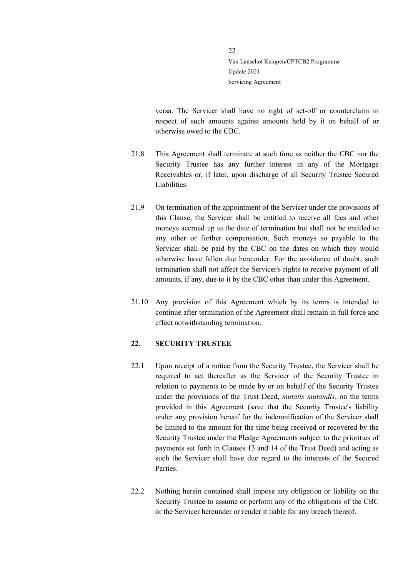versa. The Servicer shall have no right of set-off or counterclaim in respect of such amounts against amounts held by it on behalf of or otherwise owed to the CBC.

- 21.8 This Agreement shall terminate at such time as neither the CBC nor the Security Trustee has any further interest in any of the Mortgage Receivables or, if later, upon discharge of all Security Trustee Secured Liabilities.
- 21.9 On termination of the appointment of the Servicer under the provisions of this Clause, the Servicer shall be entitled to receive all fees and other moneys accrued up to the date of termination but shall not be entitled to any other or further compensation. Such moneys so payable to the Servicer shall be paid by the CBC on the dates on which they would otherwise have fallen due hereunder. For the avoidance of doubt, such termination shall not affect the Servicer's rights to receive payment of all amounts, if any, due to it by the CBC other than under this Agreement.
- 21.10 Any provision of this Agreement which by its terms is intended to continue after termination of the Agreement shall remain in full force and effect notwithstanding termination.

#### <span id="page-21-0"></span>**22. SECURITY TRUSTEE**

- 22.1 Upon receipt of a notice from the Security Trustee, the Servicer shall be required to act thereafter as the Servicer of the Security Trustee in relation to payments to be made by or on behalf of the Security Trustee under the provisions of the Trust Deed, *mutatis mutandis*, on the terms provided in this Agreement (save that the Security Trustee's liability under any provision hereof for the indemnification of the Servicer shall be limited to the amount for the time being received or recovered by the Security Trustee under the Pledge Agreements subject to the priorities of payments set forth in Clauses 13 and 14 of the Trust Deed) and acting as such the Servicer shall have due regard to the interests of the Secured Parties.
- 22.2 Nothing herein contained shall impose any obligation or liability on the Security Trustee to assume or perform any of the obligations of the CBC or the Servicer hereunder or render it liable for any breach thereof.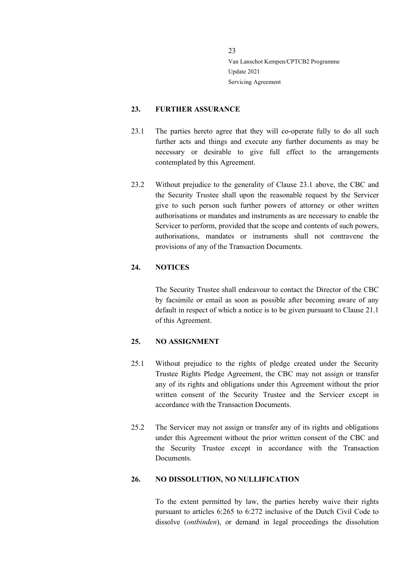#### <span id="page-22-0"></span>**23. FURTHER ASSURANCE**

- <span id="page-22-4"></span>23.1 The parties hereto agree that they will co-operate fully to do all such further acts and things and execute any further documents as may be necessary or desirable to give full effect to the arrangements contemplated by this Agreement.
- 23.2 Without prejudice to the generality of Clause [23.1](#page-22-4) above, the CBC and the Security Trustee shall upon the reasonable request by the Servicer give to such person such further powers of attorney or other written authorisations or mandates and instruments as are necessary to enable the Servicer to perform, provided that the scope and contents of such powers, authorisations, mandates or instruments shall not contravene the provisions of any of the Transaction Documents.

## <span id="page-22-1"></span>**24. NOTICES**

The Security Trustee shall endeavour to contact the Director of the CBC by facsimile or email as soon as possible after becoming aware of any default in respect of which a notice is to be given pursuant to Clause [21.1](#page-18-1) of this Agreement.

#### <span id="page-22-2"></span>**25. NO ASSIGNMENT**

- 25.1 Without prejudice to the rights of pledge created under the Security Trustee Rights Pledge Agreement, the CBC may not assign or transfer any of its rights and obligations under this Agreement without the prior written consent of the Security Trustee and the Servicer except in accordance with the Transaction Documents.
- 25.2 The Servicer may not assign or transfer any of its rights and obligations under this Agreement without the prior written consent of the CBC and the Security Trustee except in accordance with the Transaction Documents.

## <span id="page-22-3"></span>**26. NO DISSOLUTION, NO NULLIFICATION**

To the extent permitted by law, the parties hereby waive their rights pursuant to articles 6:265 to 6:272 inclusive of the Dutch Civil Code to dissolve (*ontbinden*), or demand in legal proceedings the dissolution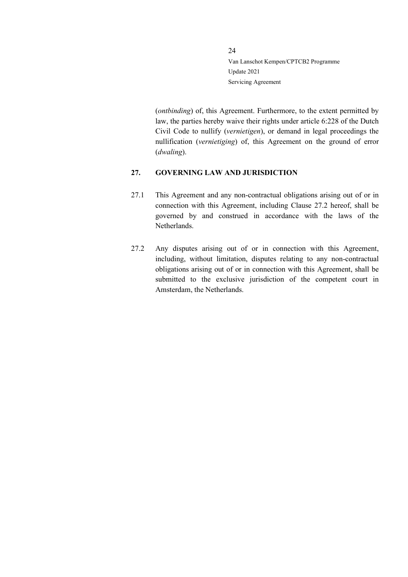(*ontbinding*) of, this Agreement. Furthermore, to the extent permitted by law, the parties hereby waive their rights under article 6:228 of the Dutch Civil Code to nullify (*vernietigen*), or demand in legal proceedings the nullification (*vernietiging*) of, this Agreement on the ground of error (*dwaling*).

## <span id="page-23-0"></span>**27. GOVERNING LAW AND JURISDICTION**

- 27.1 This Agreement and any non-contractual obligations arising out of or in connection with this Agreement, including Clause [27.2](#page-23-1) hereof, shall be governed by and construed in accordance with the laws of the Netherlands.
- <span id="page-23-1"></span>27.2 Any disputes arising out of or in connection with this Agreement, including, without limitation, disputes relating to any non-contractual obligations arising out of or in connection with this Agreement, shall be submitted to the exclusive jurisdiction of the competent court in Amsterdam, the Netherlands.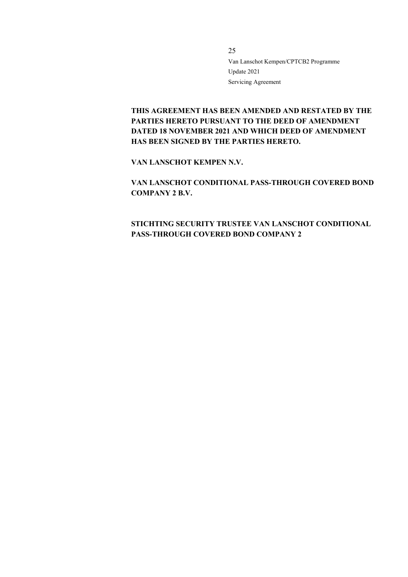**THIS AGREEMENT HAS BEEN AMENDED AND RESTATED BY THE PARTIES HERETO PURSUANT TO THE DEED OF AMENDMENT DATED 18 NOVEMBER 2021 AND WHICH DEED OF AMENDMENT HAS BEEN SIGNED BY THE PARTIES HERETO.**

**VAN LANSCHOT KEMPEN N.V.**

**VAN LANSCHOT CONDITIONAL PASS-THROUGH COVERED BOND COMPANY 2 B.V.**

**STICHTING SECURITY TRUSTEE VAN LANSCHOT CONDITIONAL PASS-THROUGH COVERED BOND COMPANY 2**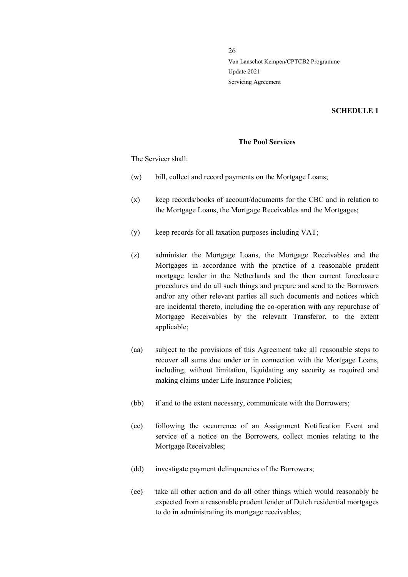#### **SCHEDULE 1**

## **The Pool Services**

The Servicer shall:

- (w) bill, collect and record payments on the Mortgage Loans;
- (x) keep records/books of account/documents for the CBC and in relation to the Mortgage Loans, the Mortgage Receivables and the Mortgages;
- (y) keep records for all taxation purposes including VAT;
- (z) administer the Mortgage Loans, the Mortgage Receivables and the Mortgages in accordance with the practice of a reasonable prudent mortgage lender in the Netherlands and the then current foreclosure procedures and do all such things and prepare and send to the Borrowers and/or any other relevant parties all such documents and notices which are incidental thereto, including the co-operation with any repurchase of Mortgage Receivables by the relevant Transferor, to the extent applicable;
- (aa) subject to the provisions of this Agreement take all reasonable steps to recover all sums due under or in connection with the Mortgage Loans, including, without limitation, liquidating any security as required and making claims under Life Insurance Policies;
- (bb) if and to the extent necessary, communicate with the Borrowers;
- (cc) following the occurrence of an Assignment Notification Event and service of a notice on the Borrowers, collect monies relating to the Mortgage Receivables;
- (dd) investigate payment delinquencies of the Borrowers;
- (ee) take all other action and do all other things which would reasonably be expected from a reasonable prudent lender of Dutch residential mortgages to do in administrating its mortgage receivables;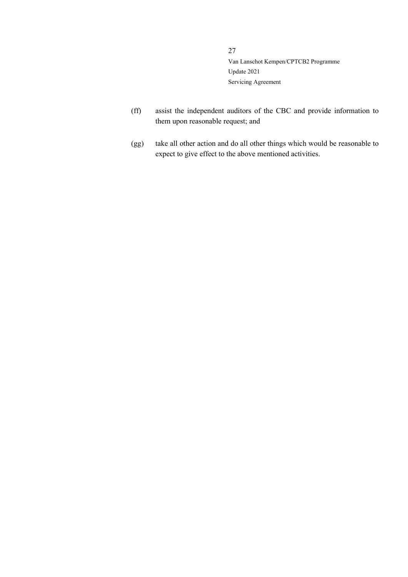- (ff) assist the independent auditors of the CBC and provide information to them upon reasonable request; and
- (gg) take all other action and do all other things which would be reasonable to expect to give effect to the above mentioned activities.